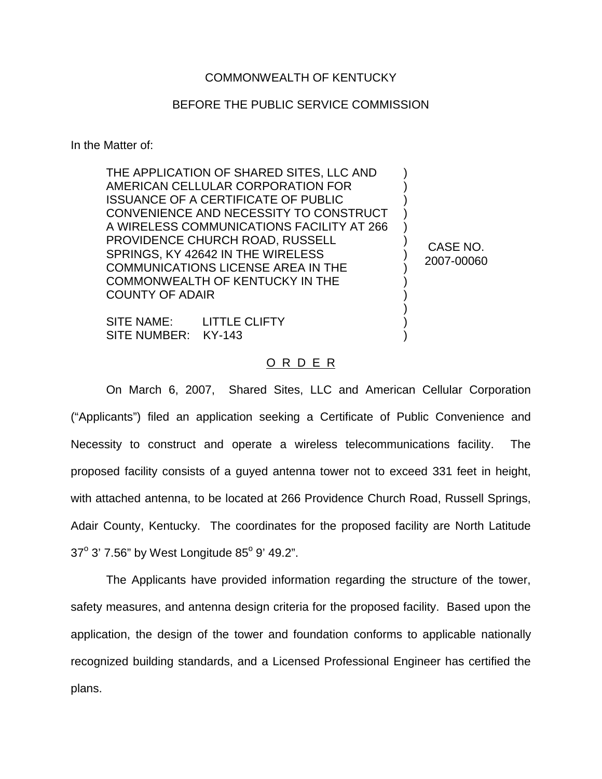## COMMONWEALTH OF KENTUCKY

## BEFORE THE PUBLIC SERVICE COMMISSION

In the Matter of:

THE APPLICATION OF SHARED SITES, LLC AND AMERICAN CELLULAR CORPORATION FOR ISSUANCE OF A CERTIFICATE OF PUBLIC CONVENIENCE AND NECESSITY TO CONSTRUCT A WIRELESS COMMUNICATIONS FACILITY AT 266 PROVIDENCE CHURCH ROAD, RUSSELL SPRINGS, KY 42642 IN THE WIRELESS COMMUNICATIONS LICENSE AREA IN THE COMMONWEALTH OF KENTUCKY IN THE COUNTY OF ADAIR ) ) ) ) ) ) ) ) ) ) )

SITE NAME: LITTLE CLIFTY SITE NUMBER: KY-143

## O R D E R

) )

CASE NO. 2007-00060

On March 6, 2007, Shared Sites, LLC and American Cellular Corporation ("Applicants") filed an application seeking a Certificate of Public Convenience and Necessity to construct and operate a wireless telecommunications facility. The proposed facility consists of a guyed antenna tower not to exceed 331 feet in height, with attached antenna, to be located at 266 Providence Church Road, Russell Springs, Adair County, Kentucky. The coordinates for the proposed facility are North Latitude  $37^{\circ}$  3' 7.56" by West Longitude 85 $^{\circ}$  9' 49.2".

The Applicants have provided information regarding the structure of the tower, safety measures, and antenna design criteria for the proposed facility. Based upon the application, the design of the tower and foundation conforms to applicable nationally recognized building standards, and a Licensed Professional Engineer has certified the plans.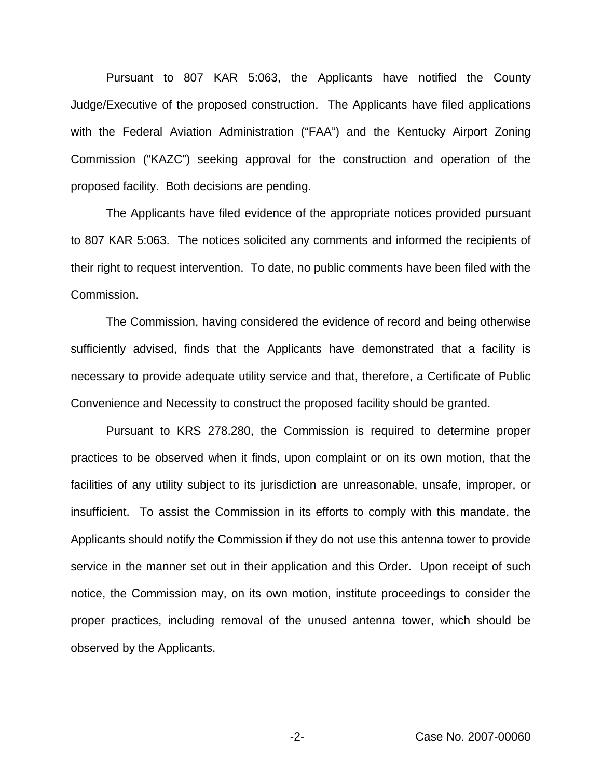Pursuant to 807 KAR 5:063, the Applicants have notified the County Judge/Executive of the proposed construction. The Applicants have filed applications with the Federal Aviation Administration ("FAA") and the Kentucky Airport Zoning Commission ("KAZC") seeking approval for the construction and operation of the proposed facility. Both decisions are pending.

The Applicants have filed evidence of the appropriate notices provided pursuant to 807 KAR 5:063. The notices solicited any comments and informed the recipients of their right to request intervention. To date, no public comments have been filed with the Commission.

The Commission, having considered the evidence of record and being otherwise sufficiently advised, finds that the Applicants have demonstrated that a facility is necessary to provide adequate utility service and that, therefore, a Certificate of Public Convenience and Necessity to construct the proposed facility should be granted.

Pursuant to KRS 278.280, the Commission is required to determine proper practices to be observed when it finds, upon complaint or on its own motion, that the facilities of any utility subject to its jurisdiction are unreasonable, unsafe, improper, or insufficient. To assist the Commission in its efforts to comply with this mandate, the Applicants should notify the Commission if they do not use this antenna tower to provide service in the manner set out in their application and this Order. Upon receipt of such notice, the Commission may, on its own motion, institute proceedings to consider the proper practices, including removal of the unused antenna tower, which should be observed by the Applicants.